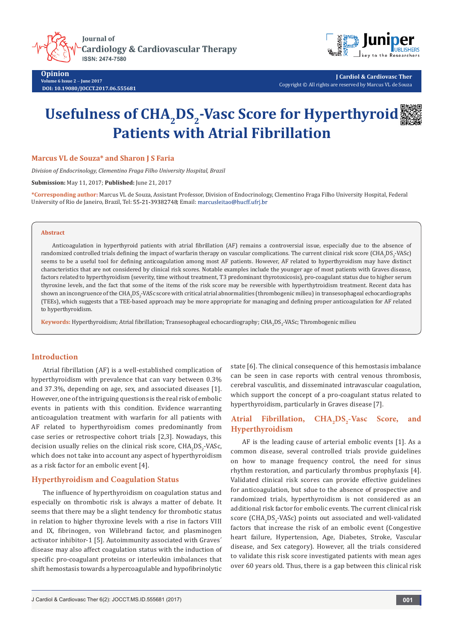**Iournal of Cardiology & Cardiovascular Therapy** ISSN: 2474-7580



**Opinion Volume 6 Issue 2** - **June 2017 DOI: [10.19080/JOCCT.2017.06.555681](http://dx.doi.org/10.19080/JOCCT.2017.06.555681
)**

**J Cardiol & Cardiovasc Ther** Copyright © All rights are reserved by Marcus VL de Souza

# Usefulness of CHA<sub>2</sub>DS<sub>2</sub>-Vasc Score for Hyperthyroid **Patients with Atrial Fibrillation**

**Marcus VL de Souza\* and Sharon J S Faria**

*Division of Endocrinology, Clementino Fraga Filho University Hospital, Brazil*

**Submission:** May 11, 2017; **Published:** June 21, 2017

**\*Corresponding author:** Marcus VL de Souza, Assistant Professor, Division of Endocrinology, Clementino Fraga Filho University Hospital, Federal University of Rio de Janeiro, Brazil, Tel: 55-21-39382748; Email: marcusleitao@hucff.ufrj.br

### **Abstract**

Anticoagulation in hyperthyroid patients with atrial fibrillation (AF) remains a controversial issue, especially due to the absence of randomized controlled trials defining the impact of warfarin therapy on vascular complications. The current clinical risk score (CHA<sub>2</sub>DS<sub>2</sub>-VASc) seems to be a useful tool for defining anticoagulation among most AF patients. However, AF related to hyperthyroidism may have distinct characteristics that are not considered by clinical risk scores. Notable examples include the younger age of most patients with Graves disease, factors related to hyperthyroidism (severity, time without treatment, T3 predominant thyrotoxicosis), pro-coagulant status due to higher serum thyroxine levels, and the fact that some of the items of the risk score may be reversible with hyperthytroidism treatment. Recent data has shown an incongruence of the CHA<sub>2</sub>DS<sub>2</sub>-VASc score with critical atrial abnormalities (thrombogenic milieu) in transesophageal echocardiographs (TEEs), which suggests that a TEE-based approach may be more appropriate for managing and defining proper anticoagulation for AF related to hyperthyroidism.

<mark>Keywords:</mark> Hyperthyroidism; Atrial fibrillation; Transesophageal echocardiography; CHA<sub>2</sub>DS<sub>2</sub>-VASc; Thrombogenic milieu

## **Introduction**

Atrial fibrillation (AF) is a well-established complication of hyperthyroidism with prevalence that can vary between 0.3% and 37.3%, depending on age, sex, and associated diseases [1]. However, one of the intriguing questions is the real risk of embolic events in patients with this condition. Evidence warranting anticoagulation treatment with warfarin for all patients with AF related to hyperthyroidism comes predominantly from case series or retrospective cohort trials [2,3]. Nowadays, this decision usually relies on the clinical risk score,  $\text{CHA}_2\text{DS}_2\text{-}\text{VASC}$ , which does not take into account any aspect of hyperthyroidism as a risk factor for an embolic event [4].

## **Hyperthyroidism and Coagulation Status**

The influence of hyperthyroidism on coagulation status and especially on thrombotic risk is always a matter of debate. It seems that there may be a slight tendency for thrombotic status in relation to higher thyroxine levels with a rise in factors VIII and IX, fibrinogen, von Willebrand factor, and plasminogen activator inhibitor-1 [5]. Autoimmunity associated with Graves´ disease may also affect coagulation status with the induction of specific pro-coagulant proteins or interleukin imbalances that shift hemostasis towards a hypercoagulable and hypofibrinolytic

state [6]. The clinical consequence of this hemostasis imbalance can be seen in case reports with central venous thrombosis, cerebral vasculitis, and disseminated intravascular coagulation, which support the concept of a pro-coagulant status related to hyperthyroidism, particularly in Graves disease [7].

# Atrial Fibrillation, CHA<sub>2</sub>DS<sub>2</sub>-Vasc Score, and **Hyperthyroidism**

AF is the leading cause of arterial embolic events [1]. As a common disease, several controlled trials provide guidelines on how to manage frequency control, the need for sinus rhythm restoration, and particularly thrombus prophylaxis [4]. Validated clinical risk scores can provide effective guidelines for anticoagulation, but sdue to the absence of prospective and randomized trials, hyperthyroidism is not considered as an additional risk factor for embolic events. The current clinical risk score ( $\text{CHA}_2\text{DS}_2\text{-VASC}$ ) points out associated and well-validated factors that increase the risk of an embolic event (Congestive heart failure, Hypertension, Age, Diabetes, Stroke, Vascular disease, and Sex category). However, all the trials considered to validate this risk score investigated patients with mean ages over 60 years old. Thus, there is a gap between this clinical risk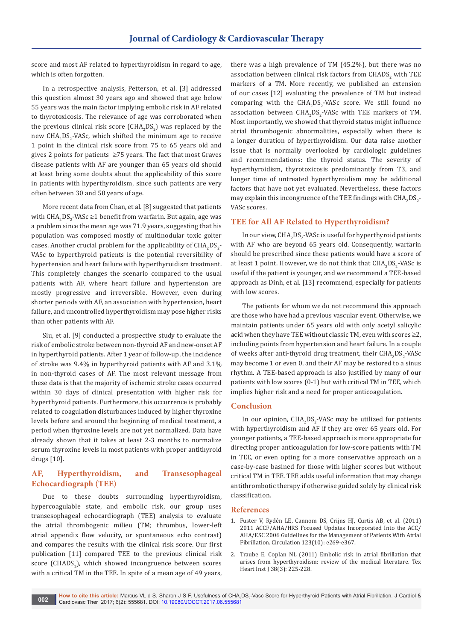score and most AF related to hyperthyroidism in regard to age, which is often forgotten.

In a retrospective analysis, Petterson, et al. [3] addressed this question almost 30 years ago and showed that age below 55 years was the main factor implying embolic risk in AF related to thyrotoxicosis. The relevance of age was corroborated when the previous clinical risk score  $(CHA_2DS_2)$  was replaced by the  ${\rm new}$  CHA $_2$ DS $_2$ -VASc, which shifted the minimum age to receive 1 point in the clinical risk score from 75 to 65 years old and gives 2 points for patients ≥75 years. The fact that most Graves disease patients with AF are younger than 65 years old should at least bring some doubts about the applicability of this score in patients with hyperthyroidism, since such patients are very often between 30 and 50 years of age.

More recent data from Chan, et al. [8] suggested that patients with  $\mathrm{CHA}_2\mathrm{DS}_2$ -VASc ≥1 benefit from warfarin. But again, age was a problem since the mean age was 71.9 years, suggesting that his population was composed mostly of multinodular toxic goiter cases. Another crucial problem for the applicability of  $\mathrm{HIA}_{2}\mathrm{DS}_{2}$ -VASc to hyperthyroid patients is the potential reversibility of hypertension and heart failure with hyperthyroidism treatment. This completely changes the scenario compared to the usual patients with AF, where heart failure and hypertension are mostly progressive and irreversible. However, even during shorter periods with AF, an association with hypertension, heart failure, and uncontrolled hyperthyroidism may pose higher risks than other patients with AF.

Siu, et al. [9] conducted a prospective study to evaluate the risk of embolic stroke between non-thyroid AF and new-onset AF in hyperthyroid patients. After 1 year of follow-up, the incidence of stroke was 9.4% in hyperthyroid patients with AF and 3.1% in non-thyroid cases of AF. The most relevant message from these data is that the majority of ischemic stroke cases occurred within 30 days of clinical presentation with higher risk for hyperthyroid patients. Furthermore, this occurrence is probably related to coagulation disturbances induced by higher thyroxine levels before and around the beginning of medical treatment, a period when thyroxine levels are not yet normalized. Data have already shown that it takes at least 2-3 months to normalize serum thyroxine levels in most patients with proper antithyroid drugs [10].

# **AF, Hyperthyroidism, and Transesophageal Echocardiograph (TEE)**

Due to these doubts surrounding hyperthyroidism, hypercoagulable state, and embolic risk, our group uses transesophageal echocardiograph (TEE) analysis to evaluate the atrial thrombogenic milieu (TM; thrombus, lower-left atrial appendix flow velocity, or spontaneous echo contrast) and compares the results with the clinical risk score. Our first publication [11] compared TEE to the previous clinical risk  $score$  (CHADS $_2$ ), which showed incongruence between scores with a critical TM in the TEE. In spite of a mean age of 49 years,

there was a high prevalence of TM (45.2%), but there was no association between clinical risk factors from  $\mathrm{CHADS}_2$  with TEE markers of a TM. More recently, we published an extension of our cases [12] evaluating the prevalence of TM but instead comparing with the  $CHA<sub>2</sub>DS<sub>2</sub>$ -VASc score. We still found no association between  $CHA<sub>2</sub>DS<sub>2</sub>$ -VASc with TEE markers of TM. Most importantly, we showed that thyroid status might influence atrial thrombogenic abnormalities, especially when there is a longer duration of hyperthyroidism. Our data raise another issue that is normally overlooked by cardiologic guidelines and recommendations: the thyroid status. The severity of hyperthyroidism, thyrotoxicosis predominantly from T3, and longer time of untreated hyperthyroidism may be additional factors that have not yet evaluated. Nevertheless, these factors may explain this incongruence of the TEE findings with  $\rm CHA_2DS_2$ -VASc scores.

## **TEE for All AF Related to Hyperthyroidism?**

In our view,  $\text{CHA}_2\text{DS}_2$ -VASc is useful for hyperthyroid patients with AF who are beyond 65 years old. Consequently, warfarin should be prescribed since these patients would have a score of at least 1 point. However, we do not think that  $\mathrm{CHA}_2\mathrm{DS}_2$ -VASc is useful if the patient is younger, and we recommend a TEE-based approach as Dinh, et al. [13] recommend, especially for patients with low scores.

The patients for whom we do not recommend this approach are those who have had a previous vascular event. Otherwise, we maintain patients under 65 years old with only acetyl salicylic acid when they have TEE without classic TM, even with scores  $\geq 2$ , including points from hypertension and heart failure. In a couple of weeks after anti-thyroid drug treatment, their  $\text{CHA}_2\text{DS}_2\text{-}\text{VASC}$ may become 1 or even 0, and their AF may be restored to a sinus rhythm. A TEE-based approach is also justified by many of our patients with low scores (0-1) but with critical TM in TEE, which implies higher risk and a need for proper anticoagulation.

## **Conclusion**

In our opinion,  $CHA<sub>2</sub>DS<sub>2</sub>$ -VASc may be utilized for patients with hyperthyroidism and AF if they are over 65 years old. For younger patients, a TEE-based approach is more appropriate for directing proper anticoagulation for low-score patients with TM in TEE, or even opting for a more conservative approach on a case-by-case basined for those with higher scores but without critical TM in TEE. TEE adds useful information that may change antithrombotic therapy if otherwise guided solely by clinical risk classification.

#### **References**

- 1. [Fuster V, Rydén LE, Cannom DS, Crijns HJ, Curtis AB, et al. \(2011\)](https://www.ncbi.nlm.nih.gov/pubmed/21382897)  [2011 ACCF/AHA/HRS Focused Updates Incorporated Into the ACC/](https://www.ncbi.nlm.nih.gov/pubmed/21382897) [AHA/ESC 2006 Guidelines for the Management of Patients With Atrial](https://www.ncbi.nlm.nih.gov/pubmed/21382897)  [Fibrillation. Circulation 123\(10\): e269-e367.](https://www.ncbi.nlm.nih.gov/pubmed/21382897)
- 2. [Traube E, Coplan NL \(2011\) Embolic risk in atrial fibrillation that](https://www.ncbi.nlm.nih.gov/pubmed/21720457/)  [arises from hyperthyroidism: review of the medical literature. Tex](https://www.ncbi.nlm.nih.gov/pubmed/21720457/)  [Heart Inst J 38\(3\): 225-228.](https://www.ncbi.nlm.nih.gov/pubmed/21720457/)